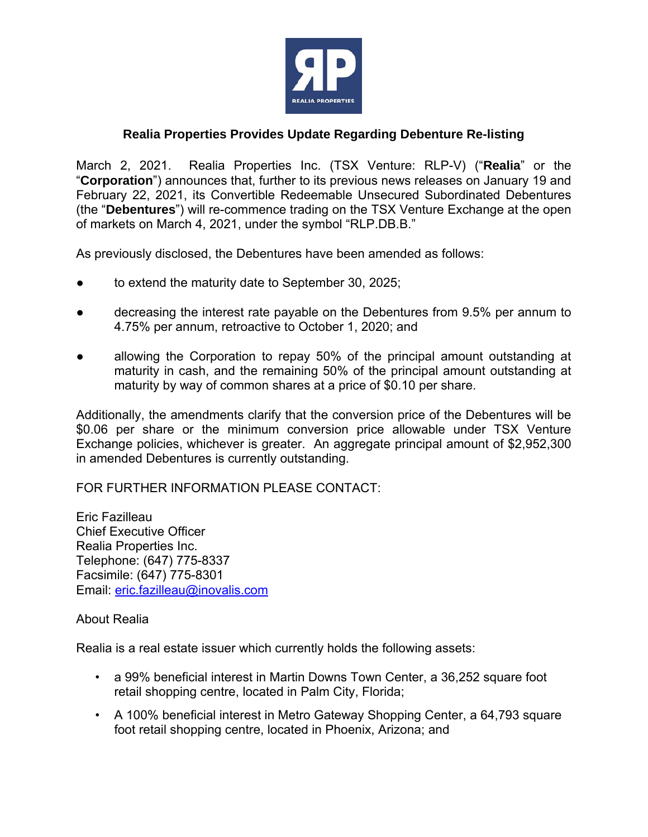

## **Realia Properties Provides Update Regarding Debenture Re-listing**

March 2, 2021. Realia Properties Inc. (TSX Venture: RLP-V) ("**Realia**" or the "**Corporation**") announces that, further to its previous news releases on January 19 and February 22, 2021, its Convertible Redeemable Unsecured Subordinated Debentures (the "**Debentures**") will re-commence trading on the TSX Venture Exchange at the open of markets on March 4, 2021, under the symbol "RLP.DB.B."

As previously disclosed, the Debentures have been amended as follows:

- to extend the maturity date to September 30, 2025;
- decreasing the interest rate payable on the Debentures from 9.5% per annum to 4.75% per annum, retroactive to October 1, 2020; and
- allowing the Corporation to repay 50% of the principal amount outstanding at maturity in cash, and the remaining 50% of the principal amount outstanding at maturity by way of common shares at a price of \$0.10 per share.

Additionally, the amendments clarify that the conversion price of the Debentures will be \$0.06 per share or the minimum conversion price allowable under TSX Venture Exchange policies, whichever is greater. An aggregate principal amount of \$2,952,300 in amended Debentures is currently outstanding.

FOR FURTHER INFORMATION PLEASE CONTACT:

Eric Fazilleau Chief Executive Officer Realia Properties Inc. Telephone: (647) 775-8337 Facsimile: (647) 775-8301 Email: eric.fazilleau@inovalis.com

About Realia

Realia is a real estate issuer which currently holds the following assets:

- a 99% beneficial interest in Martin Downs Town Center, a 36,252 square foot retail shopping centre, located in Palm City, Florida;
- A 100% beneficial interest in Metro Gateway Shopping Center, a 64,793 square foot retail shopping centre, located in Phoenix, Arizona; and